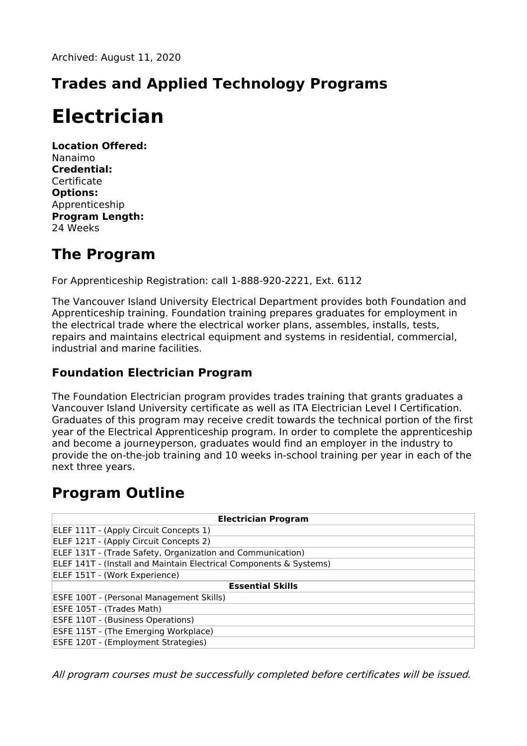# **Trades and Applied Technology Programs**

# **Electrician**

**Location Offered:** Nanaimo **Credential:** Certificate **Options:** Apprenticeship **Program Length:** 24 Weeks

### **The Program**

For Apprenticeship Registration: call 1-888-920-2221, Ext. 6112

The Vancouver Island University Electrical Department provides both Foundation and Apprenticeship training. Foundation training prepares graduates for employment in the electrical trade where the electrical worker plans, assembles, installs, tests, repairs and maintains electrical equipment and systems in residential, commercial, industrial and marine facilities.

### **Foundation Electrician Program**

The Foundation Electrician program provides trades training that grants graduates a Vancouver Island University certificate as well as ITA Electrician Level I Certification. Graduates of this program may receive credit towards the technical portion of the first year of the Electrical Apprenticeship program. In order to complete the apprenticeship and become a journeyperson, graduates would find an employer in the industry to provide the on-the-job training and 10 weeks in-school training per year in each of the next three years.

### **Program Outline**

| <b>Electrician Program</b>                                         |
|--------------------------------------------------------------------|
| ELEF 111T - (Apply Circuit Concepts 1)                             |
| ELEF 121T - (Apply Circuit Concepts 2)                             |
| ELEF 131T - (Trade Safety, Organization and Communication)         |
| ELEF 141T - (Install and Maintain Electrical Components & Systems) |
| ELEF 151T - (Work Experience)                                      |
| <b>Essential Skills</b>                                            |
| <b>ESFE 100T - (Personal Management Skills)</b>                    |
| ESFE 105T - (Trades Math)                                          |
| <b>ESFE 110T - (Business Operations)</b>                           |
| <b>ESFE 115T - (The Emerging Workplace)</b>                        |
| <b>ESFE 120T - (Employment Strategies)</b>                         |

All program courses must be successfully completed before certificates will be issued.